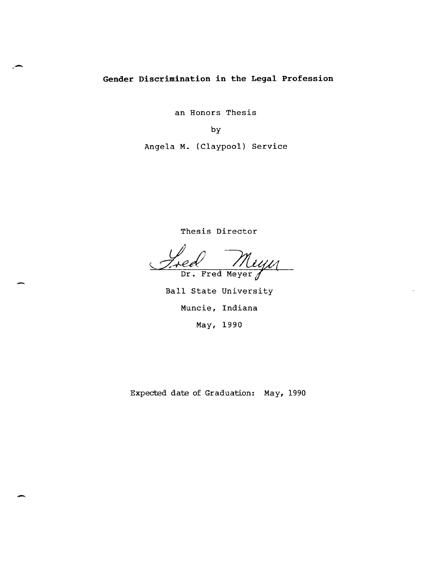# **Gender Discrimination in the Legal Profession**

an Honors Thesis

by

Angela M. (Claypool) Service

Thesis Director

Fred Miyn

Ball State University Muncie, Indiana May, 1990

Expected date of Graduation: May, 1990

-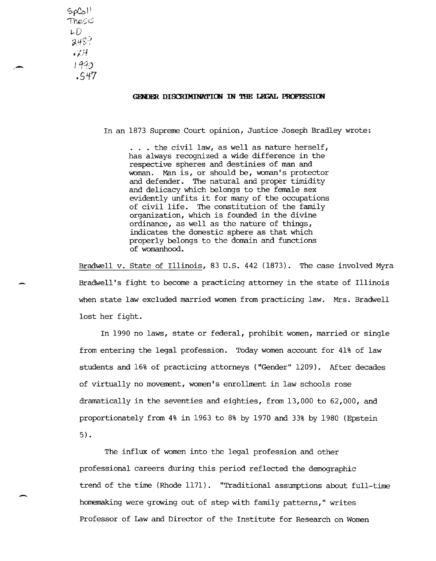$S_{\rho}C_{\rho}$ <sup>1</sup> '11',e~IS *l..D*   $2489$ ./H I qqo  $.547$ 

,-

-

#### GENDER DISCRIMINATION IN THE LEGAL PROFESSION

In an 1873 Supreme Court opinion, Justice Joseph Bradley wrote:

... the civil law, as well as nature herself, has always recognized a wide difference in the respective spheres and destinies of man and woman. Man is, or should be, woman's protector and defender. The natural and proper timidity and delicacy which belongs to the female sex evidently unfits it for many of the occupations of civil life. The constitution of the family organization, which is founded in the divine ordinance, as well as the nature of things, indicates the domestic sphere as that which properly belongs to the domain and functions of womanhood.

Bradwell v. State of Illinois, 83 u.S. 442 (1873). The case involved Myra Bradwell's fight to become a practicing attorney in the state of Illinois when state law excluded married women from practicing law. Mrs. Bradwell lost her fight.

In 1990 no laws, state or federal, prohibit women, married or single from entering the legal profession. Today women account for 41% of law students and 16% of practicing attorneys ("Gender" 1209). After decades of virtually no movement, women's enrollment in law schools rose dramatically in the seventies and eighties, from 13,000 to 62,000, and proportionately from 4% in 1963 to 8% by 1970 and 33% by 1980 (Epstein 5) •

The influx of women into the legal profession and other professional careers during this period reflected the demographic trend of the time (Rhode 1171). "Traditional assumptions about full-time homemaking were growing out of step with family patterns," writes Professor of Law and Director of the Institute for Research on Women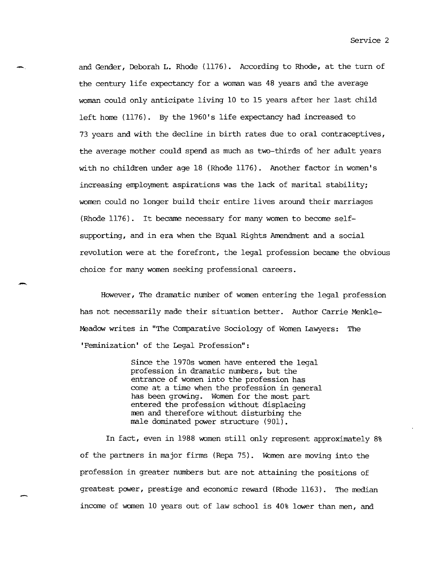and Gender, Deborah L. Rhode (1176). According to Rhode, at the turn of the century life expectancy for a woman was 48 years and the average woman could only anticipate living 10 to 15 years after her last child left home (1176). By the 1960's life expectancy had increased to 73 years and with the decline in birth rates due to oral contraceptives, the average mother could spend as much as two-thirds of her adult years with no children under age 18 (Rhode 1176). Another factor in women's increasing employment aspirations was the lack of marital stability; women could no longer build their entire lives around their marriages (Rhode 1176). It became necessary for many women to become selfsupporting, and in era when the Equal Rights Amendment and a social revolution were at the forefront, the legal profession became the obvious choice for many women seeking professional careers.

-.

-

However, The dramatic number of women entering the legal profession has not necessarily made their situation better. Author Carrie Menkle-Meadow writes in "The Comparative Sociology of Women Lawyers: The 'Feminization' of the Legal Profession":

> Since the 1970s women have entered the legal profession in dramatic numbers, but the entrance of women into the profession has come at a time when the profession in general has been growing. Women for the most part entered the profession without displacing men and therefore without disturbing the male dominated power structure (901).

In fact, even in 1988 women still only represent approximately 8% of the partners in major firms (Repa 75). Women are moving into the profession in greater numbers but are not attaining the positions of greatest power, prestige and economic reward (Rhode 1163). The median income of women 10 years out of law school is 40% lower than men, and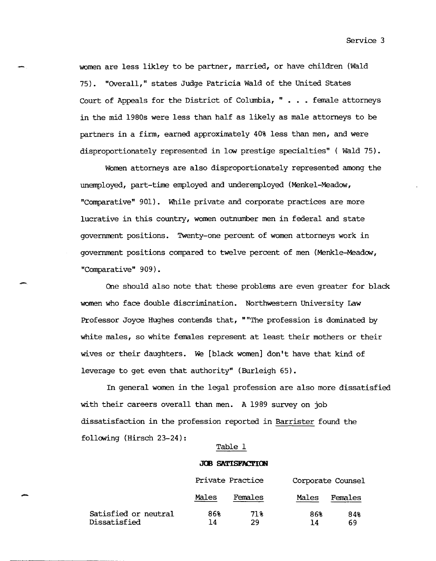women are less likley to be partner, married, or have children (Wald 75). "OVerall," states Judge Patricia Wald of the United States Court of Appeals for the District of Columbia, " . . . female attorneys in the mid 1980s were less than half as likely as male attorneys to be partners in a firm, earned approximately 40% less than men, and were disproportionately represented in low prestige specialties" ( Wald 75).

WOmen attorneys are also disproportionately represented among the unemployed, part-time employed and underemployed (Menkel-Meadow, "Comparative" 901). While private and corporate practices are more lucrative in this country, women outnumber men in federal and state goverrunent positions. Twenty-one percent of women attorneys work in government positions compared to twelve percent of men (Menkle-Meadow, "Comparative" 909).

One should also note that these problems are even greater for black women who face double discrimination. Northwestern University Law Professor Joyce Hughes contends that, ""The profession is dominated by white males, so white females represent at least their mothers or their wives or their daughters. We [black women] don't have that kind of leverage to get even that authority" (Burleigh 65).

In general women in the legal profession are also more dissatisfied with their careers overall than men. A 1989 survey on job dissatisfaction in the profession reported in Barrister found the following (Hirsch 23-24):

### Table 1

#### **JOB SATISFACTION**

|      |                                      | Private Practice |           | Corporate Counsel |           |
|------|--------------------------------------|------------------|-----------|-------------------|-----------|
| بمحر |                                      | Males            | Females   | Males             | Females   |
|      | Satisfied or neutral<br>Dissatisfied | 86%<br>14        | 71%<br>29 | 86%<br>14         | 84%<br>69 |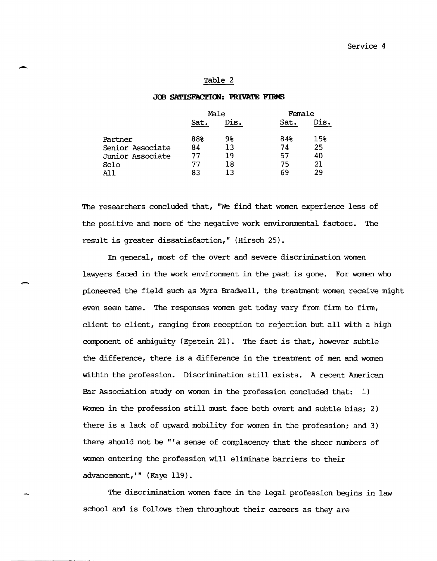# - Table 2

#### JOB SATISFACTION: PRIVATE FIRMS

|                  | Male |      | Female |      |
|------------------|------|------|--------|------|
|                  | Sat. | Dis. | Sat.   | Dis. |
| Partner          | 88%  | 98   | 84%    | 15%  |
| Senior Associate | 84   | 13   | 74     | 25   |
| Junior Associate | 77   | 19   | 57     | 40   |
| Solo             | 77   | 18   | 75     | 21   |
| All              | 83   | 13   | 69     | 29   |
|                  |      |      |        |      |

The researchers concluded that, "We find that women experience less of the positive and more of the negative work environmental factors. The result is greater dissatisfaction," (Hirsch 25).

In general, most of the overt and severe discrimination women lawyers faced in the work environment in the past is gone. For women who - pioneered the field such as Myra Bradwell, the treatment women receive might even seem tame. The responses women get today vary from firm to firm, client to client, ranging from reception to rejection but all with a high component of ambiguity (Epstein 21). The fact is that, however subtle the difference, there is a difference in the treatment of men and women within the profession. Discrimination still exists. A recent American Bar Association study on women in the profession concluded that: 1) Women in the profession still must face both overt and subtle bias; 2) there is a lack of upward mobility for women in the profession; and 3) there should not be "'a sense of complacency that the sheer numbers of women entering the profession will eliminate barriers to their advancement, " (Kaye 119).

The discrimination women face in the legal profession begins in law school and is follows them throughout their careers as they are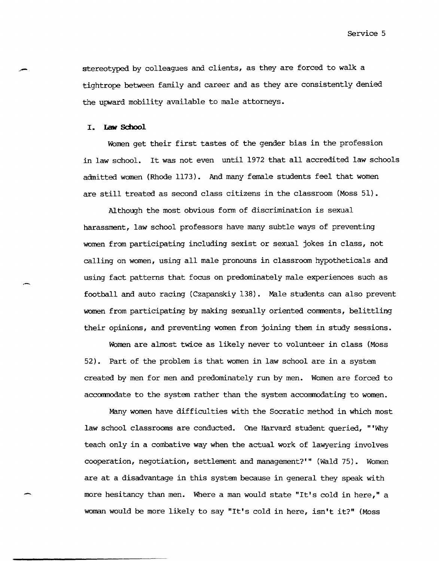Service 5

stereotyped by colleagues and clients, as they are forced to walk a tightrope between family and career and as they are consistently denied the upward mobility available to male attorneys.

# I. **law School**

-

WOmen get their first tastes of the gender bias in the profession in law school. It was not even until 1972 that all accredited law schools admitted women (Rhode 1173). And many female students feel that women are still treated as second class citizens in the classroom (Moss 51).

Although the most obvious form of discrimination is sexual harassment, law school professors have many subtle ways of preventing women from participating including sexist or sexual jokes in class, not calling on women, using all male pronouns in classroom hypotheticals and using fact patterns that focus on predominately male experiences such as football and auto racing (Czapanskiy 138). Male students can also prevent women from participating by making sexually oriented comments, belittling their opinions, and preventing women from joining them in study sessions.

WOmen are almost twice as likely never to volunteer in class (Moss 52). Part of the problem is that women in law school are in a system created by men for men and predominately run by men. Women are forced to accommodate to the system rather than the system accommodating to women.

Many women have difficulties with the Socratic method in which most law school classrooms are conducted. One Harvard student queried, "'Why teach only in a combative way when the actual work of lawyering involves cooperation, negotiation, settlement and management?'" (Wald 75). Women are at a disadvantage in this system because in general they speak with more hesitancy than men. Where a man would state "It's cold in here," a woman would be more likely to say "It's cold in here, isn't it?" (Moss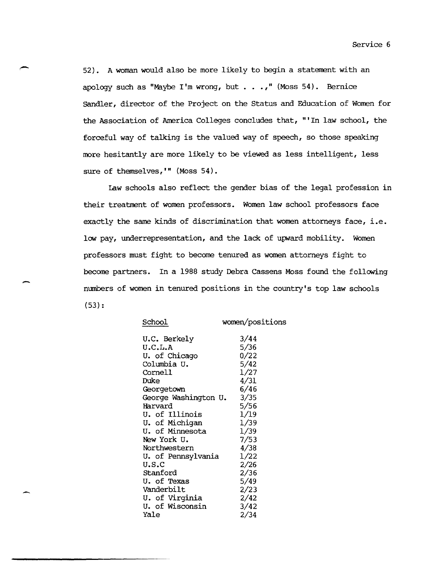52). A woman would also be more likely to begin a statement with an apology such as "Maybe I'm wrong, but  $\ldots$ ," (Moss 54). Bernice Sandler, director of the Project on the Status and Education of Women for the Association of America Colleges concludes that, "'In law school, the forceful way of talking is the valued way of speech, so those speaking more hesitantly are more likely to be viewed as less intelligent, less sure of themselves, **'"** (Moss 54).

Law schools also reflect the gender bias of the legal profession in their treatment of women professors. Women law school professors face exactly the same kinds of discrimination that women attorneys face, i.e. low pay, underrepresentation, and the lack of upward mobility. Women professors must fight to become tenured as women attorneys fight to become partners. In a 1988 study Debra Cassens Moss found the following numbers of women in tenured positions in the country's top law schools (53):

| School               | women/positions |
|----------------------|-----------------|
| U.C. Berkely         | 3/44            |
| U.C.L.A              | 5/36            |
| U. of Chicago        | 0/22            |
| Columbia U.          | 5/42            |
| Cornell              | 1/27            |
| Duke                 | 4/31            |
| Georgetown           | 6/46            |
| George Washington U. | 3/35            |
| Harvard              | 5/56            |
| U. of Illinois       | 1/19            |
| U. of Michigan       | 1/39            |
| U. of Minnesota      | 1/39            |
| New York U.          | 7/53            |
| Northwestern         | 4/38            |
| U. of Pennsylvania   | 1/22            |
| u.s.c                | 2/26            |
| Stanford             | 2/36            |
| U. of Texas          | 5/49            |
| Vanderbilt           | 2/23            |
| U. of Virginia       | 2/42            |
| U. of Wisconsin      | 3/42            |
| Yale                 | 2/34            |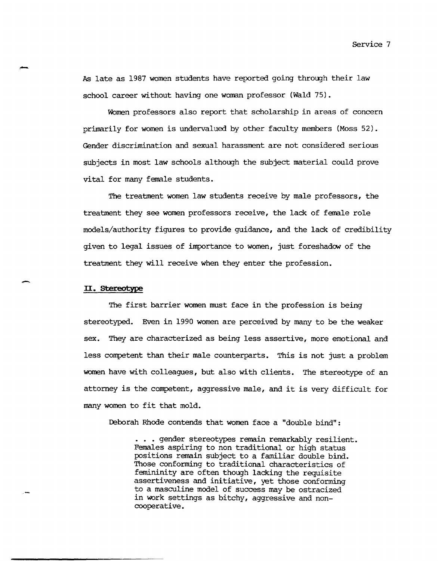Service 7

As late as 1987 women students have reported going through their law school career without having one woman professor (Wald 75).

WOmen professors also report that scholarship in areas of concern primarily for women is undervalued by other faculty members (Moss 52). Gender discrimination and sexual harassment are not considered serious subjects in most law schools although the subject material could prove vital for many female students.

The treatment women law students receive by male professors, the treatment they see women professors receive, the lack of female role models/authority figures to provide guidance, and the lack of credibility given to legal issues of importance to women, just foreshadow of the treatment they will receive when they enter the profession.

### **II. stereotype**

-

,-

The first barrier women must face in the profession is being stereotyped. Even in 1990 women are perceived by many to be the weaker sex. They are characterized as being less assertive, more emotional and less competent than their male counterparts. This is not just a problem women have with colleagues, but also with clients. The stereotype of an attorney is the competent, aggressive male, and it is very difficult for many women to fit that mold.

Deborah Rhode contends that women face a "double bind":

. . . gender stereotypes remain remarkably resilient. Females aspiring to non traditional or high status positions remain subject to a familiar double bind. Those conforming to traditional characteristics of femininity are often though lacking the requisite assertiveness and initiative, yet those conforming to a masculine model of success may be ostracized in work settings as bitchy, aggressive and noncooperative.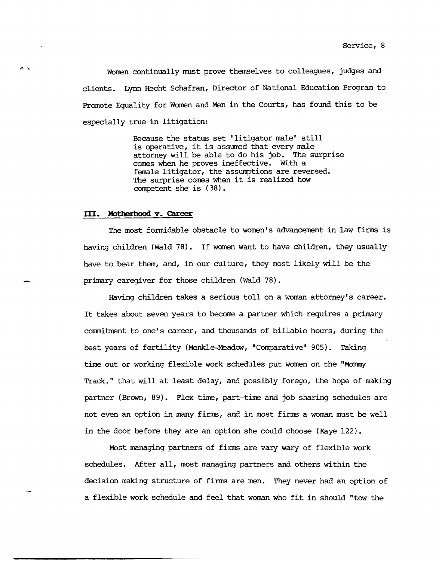Women continually must prove themselves to colleagues, judges and clients. Lynn Hecht Schafran, Director of National Education Program to Promote Equality for Women and Men in the Courts, has found this to be especially true in litigation:

> Because the status set' litigator male' still is operative, it is assumed that every male attorney will be able to do his job. The surprise comes when he proves ineffective. With a female litigator, the assumptions are reversed. The surprise comes when it is realized how competent she is (38).

#### **III.** Motherhood **v. Career**

-

The most formidable obstacle to women's advancement in law firms is having children (Wald 78). If women want to have children, they usually have to bear them, and, in our culture, they most likely will be the primary caregiver for those children (Wald 78).

Having children takes a serious toll on a woman attorney's career. It takes about seven years to become a partner which requires a primary commitment to one's career, and thousands of billable hours, during the best years of fertility (Menkle-Meadow, "Comparative" 905). Taking time out or working flexible work schedules put women on the "Mommy Track," that will at least delay, and possibly forego, the hope of making partner (Brown, 89). Flex time, part-time and job sharing schedules are not even an option in many firms, and in most firms a woman must be well in the door before they are an option she could choose (Kaye 122).

Most managing partners of firms are vary wary of flexible work schedules. After all, most managing partners and others within the decision making structure of firms are men. They never had an option of a flexible work schedule and feel that woman who fit in should "tow the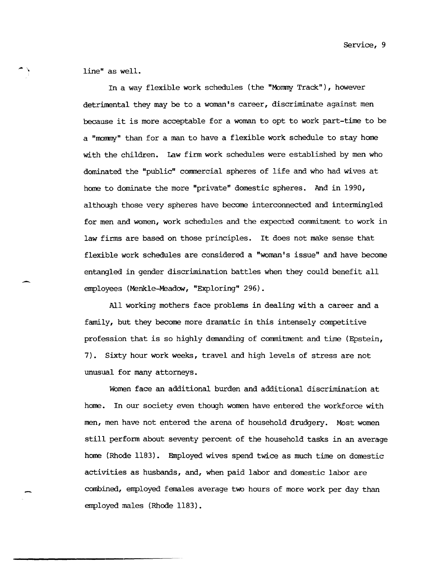Service, 9

line" as well.

 $"$ 

In a way flexible work schedules (the "Monmy Track"), however detrimental they may be to a woman's career, discriminate against men because it is more acceptable for a woman to opt to work part-time to be a "rnonmy" than for a man to have a flexible work schedule to stay home with the children. Law firm work schedules were established by men who dominated the "public" commercial spheres of life and who had wives at horne to dominate the more "private" domestic spheres. And in 1990, although those very spheres have become interconnected and intermingled for men and women, work schedules and the expected commitment to work in law firms are based on those principles. It does not make sense that flexible work schedules are considered a "woman's issue" and have become entangled in gender discrimination battles when they could benefit all employees (Menkle-Meadow, "Exploring" 296).

All working mothers face problems in dealing with a career and a family, but they become more dramatic in this intensely competitive profession that is so highly demanding of commitment and time (Epstein, 7) • Sixty hour work weeks, travel and high levels of stress are not unusual for many attorneys.

WOmen face an additional burden and additional discrimination at home. In our society even though women have entered the workforce with men, men have not entered the arena of household drudgery. Most women still perform about seventy percent of the household tasks in an average horne (Rhode 1183). Employed wives spend twice as much time on domestic activities as husbands, and, when paid labor and domestic labor are combined, employed females average two hours of more work per day than employed males (Rhode 1183).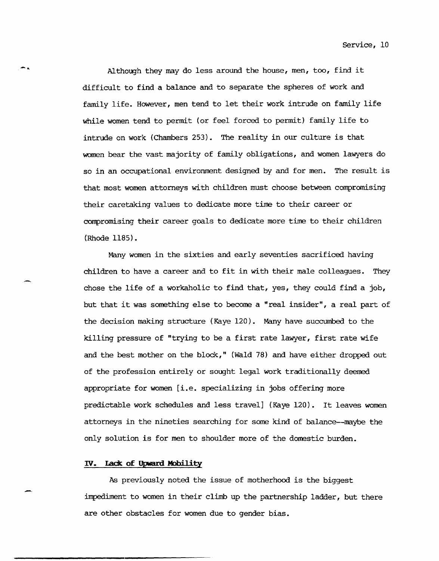Although they may do less around the house, men, too, find it difficult to find a balance and to separate the spheres of work and family life. However, men tend to let their work intrude on family life while women tend to permit (or feel forced to permit) family life to intrude on work (Chambers 253). The reality in our culture is that women bear the vast majority of family obligations, and women lawyers do so in an occupational environment designed by and for men. The result is that most women attorneys with children must choose between compromising their caretaking values to dedicate more time to their career or compromising their career goals to dedicate more time to their children (Rhode 1185).

Many women in the sixties and early seventies sacrificed having children to have a career and to fit in with their male colleagues. They chose the life of a workaholic to find that, yes, they could find a job, but that it was something else to become a "real insider", a real part of the decision making structure (Kaye 120). Many have succumbed to the killing pressure of "trying to be a first rate lawyer, first rate wife and the best mother on the block," (Wald 78) and have either dropped out of the profession entirely or sought legal work traditionally deemed appropriate for women [i.e. specializing in jobs offering more predictable work schedules and less travel] (Kaye 120). It leaves women attorneys in the nineties searching for some kind of balance--maybe the only solution is for men to shoulder more of the domestic burden.

# IV. **Lade of Upwani Mobil i ty**

-..

As previously noted the issue of motherhood is the biggest impediment to women in their climb up the partnership ladder, but there are other obstacles for women due to gender bias.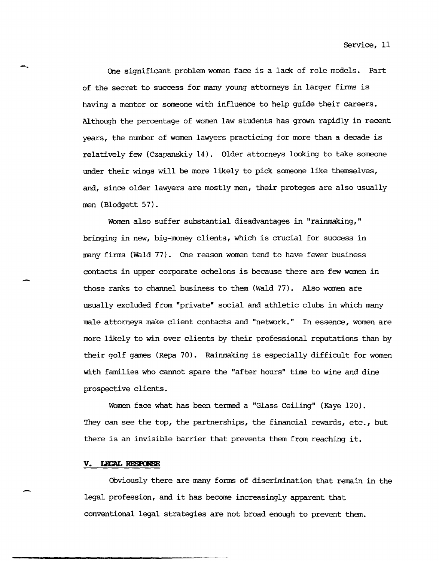One significant problem women face is a lack of role models. Part of the secret to success for many young attorneys in larger firms is having a mentor or someone with influence to help guide their careers. Although the percentage of women law students has grown rapidly in recent years, the mnnber of women lawyers practicing for more than a decade is relatively few (Czapanskiy 14). Older attorneys looking to take someone under their wings will be more likely to pick someone like themselves, and, since older lawyers are mostly men, their proteges are also usually men (Blodgett 57).

Women also suffer substantial disadvantages in "rainmaking," bringing in new, big-money clients, which is crucial for success in many firms (Wald 77). One reason women tend to have fewer business contacts in upper corporate echelons is because there are few women in those ranks to channel business to them (Wald 77). Also women are usually excluded from "private" social and athletic clubs in which many male attorneys make client contacts and "network." In essence, women are more likely to win over clients by their professional reputations than by their golf games (Repa 70). Rainmaking is especially difficult for women with families who cannot spare the "after hours" time to wine and dine prospective clients.

Women face what has been termed a "Glass Ceiling" (Kaye 120). They can see the top, the partnerships, the financial rewards, etc., but there is an invisible barrier that prevents them from reaching it.

#### V. LEGAL RESPONSE

-~

-

Obviously there are many forms of discrimination that remain in the legal profession, and it has become increasingly apparent that conventional legal strategies are not broad enough to prevent them.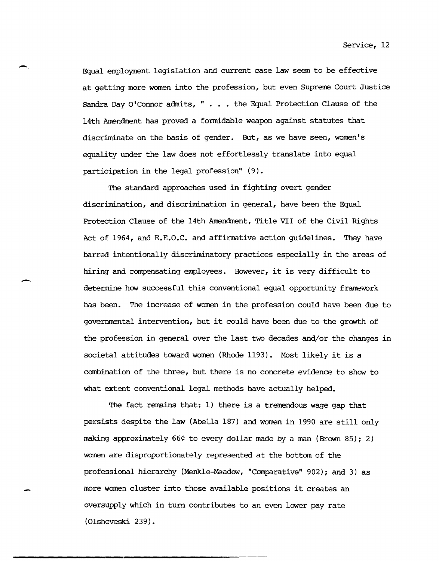Service, 12

Equal employment legislation and current case law seem to be effective at getting more women into the profession, but even Supreme Court Justice Sandra Day O'Connor admits, " ... the Equal Protection Clause of the 14th Amendment has proved a formidable weapon against statutes that discriminate on the basis of gender. But, as we have seen, women's equality under the law does not effortlessly translate into equal participation in the legal profession" (9).

-.

--

The standard approaches used in fighting overt gender discrimination, and discrimination in general, have been the Equal Protection Clause of the 14th Amendment, Title VII of the Civil Rights Act of 1964, and E.E.O.C. and affirmative action guidelines. They have barred intentionally discriminatory practices especially in the areas of hiring and compensating employees. However, it is very difficult to determine how successful this conventional equal opportunity framework has been. The increase of women in the profession could have been due to governmental intervention, but it could have been due to the growth of the profession in general over the last two decades and/or the changes in societal attitudes toward women (Rhode 1193). Most likely it is a combination of the three, but there is no concrete evidence to show to what extent conventional legal methods have actually helped.

The fact remains that: 1) there is a tremendous wage gap that persists despite the law (Abella 187) and women in 1990 are still only making approximately 66¢ to every dollar made by a man (Brown 85); 2) women are disproportionately represented at the bottom of the professional hierarchy (Menkle-Meadow, "Comparative" 902); and 3) as more women cluster into those available positions it creates an oversupply which in tum contributes to an even lower pay rate (OlsheveSki 239).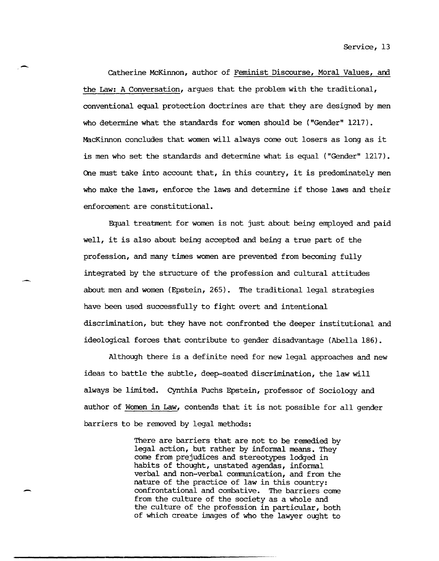catherine McKinnon, author of Feminist Discourse, Moral Values, am the Law: A Conversation, argues that the problem with the traditional, conventional equal protection doctrines are that they are designed by men who determine what the standards for women should be ("Gender" 1217). MacKinnon concludes that women will always come out losers as long as it is men who set the standards and determine what is equal ("Gender" 1217). One must take into account that, in this country, it is predominately men who make the laws, enforce the laws and determine if those laws and their enforcement are constitutional.

-

-

Equal treatment for women is not just about being employed and paid well, it is also about being accepted and being a true part of the profession, and many times women are prevented from becoming fully integrated by the structure of the profession and cultural attitudes about men and women (Epstein, 265). The traditional legal strategies have been used successfully to fight overt and intentional discrimination, but they have not confronted the deeper institutional and ideological forces that contribute to gender disadvantage (Abella 186).

Although there is a definite need for new legal approaches and new ideas to battle the subtle, deep-seated discrimination, the law will always be limited. Cynthia Fuchs Epstein, professor of Sociology and author of Women in Law, contends that it is not possible for all gender barriers to be removed by legal methods:

> There are barriers that are not to be remedied by legal action, but rather by informal means. They come from prejudices and stereotypes lodged in habits of thought, unstated agendas, informal verbal and non-verbal comnunication, and from the nature of the practice of law in this country: confrontational and combative. The barriers come from the culture of the society as a whole and the culture of the profession in particular, both of which create images of who the lawyer ought to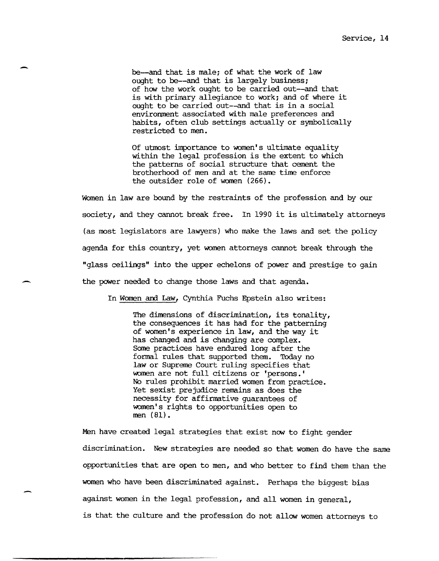be--and that is *male;* of what the work of law ought to be--and that is largely business; of how the work ought to be carried out--and that is with primary allegiance to work; and of where it ought to be carried out--and that is in a social environment associated with male preferences and habits, often club settings actually or symbolically restricted to men.

Of utmost importance to women's ultimate equality within the legal profession is the extent to which the patterns of social structure that cement the brotherhood of men and at the same time enforce the outsider role of women (266).

Women in law are bound by the restraints of the profession and by our society, and they cannot break free. In 1990 it is ultimately attorneys (as most legislators are lawyers) who make the laws and set the policy agenda for this country, yet women attorneys cannot break through the "glass ceilings" into the upper echelons of power and prestige to gain the power needed to change those laws and that agenda.

In Women and Law, Cynthia Fuchs Epstein also writes:

-

-

The dimensions of discrimination, its tonality, the consequences it has had for the patterning of women's experience in law, and the way it has changed and is changing are complex. Some practices have endured long after the formal rules that supported them. Today no law or Supreme Court ruling specifies that women are not full citizens or 'persons.' No rules prohibit married women from practice. Yet sexist prejudice remains as does the necessity for affirmative guarantees of women's rights to opportunities open to men (81).

Men have created legal strategies that exist now to fight gender discrimination. New strategies are needed so that women do have the same opportunities that are open to men, and who better to find them than the women who have been discriminated against. Perhaps the biggest bias against women in the legal profession, and all women in general, is that the culture and the profession do not allow women attorneys to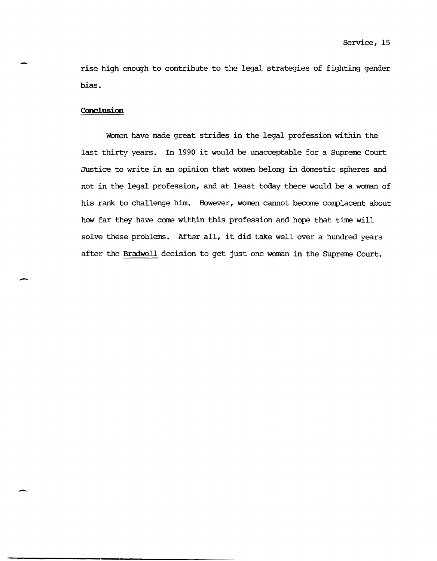rise high enough to contribute to the legal strategies of fighting gender bias.

# **Conclusion**

-

-

-

WOmen have made great strides in the legal profession within the last thirty years. In 1990 it would be unacceptable for a Supreme Court Justice to write in an opinion that women belong in domestic spheres and not in the legal profession, and at least today there would be a woman of his rank to challenge him. However, women cannot become complacent about how far they have come within this profession and hope that time will solve these problems. After all, it did take well over a hundred years after the Bradwell decision to get just one woman in the Supreme Court.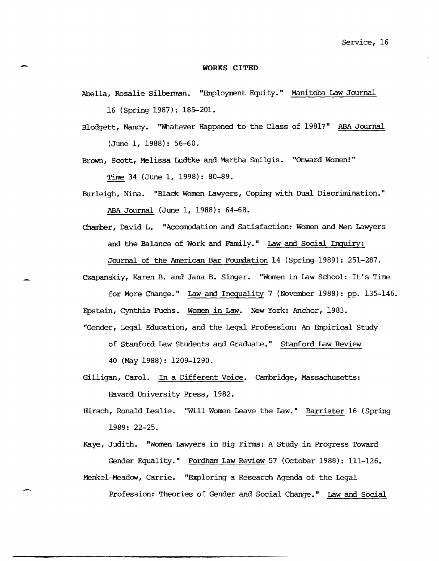#### **WORKS CITED**

- Abella, Rosalie Silberman. "Employment Equity." Manitoba. Law Journal 16 (Spring 1987): 185-201.
- Blodgett, Nancy. "Whatever Happened to the Class of 1981?" ABA Journal (June 1, 1988): 56-60.

Brown, Scott, Melissa Ludtke and Martha Smilgis. "Onward Women!" Time 34 (June 1, 1998): 80-89.

- Burleigh, Nina. "Black Women Lawyers, Coping with Dual Discrimination." ABA Journal (June 1, 1988): 64-68.
- Chamber, David L. "Accoroodation and Satisfaction: Women and Men Lawyers and the Balance of Work and Family." Law and Social Irquiry: Journal of the American Bar Foundation 14 (Spring 1989): 251-287.
- Czapanskiy, Karen B. and Jana B. Singer. "Women in Law School: It's Time
- for More Change." Law and Inequality 7 (November 1988): pp. 135-146. Epstein, Cynthia Fuchs. Women in Law. New York: Anchor, 1983.
- "Gender, Legal Education, and the Legal Profession: An Empirical Study
	- of Stanford Law Students and Graduate." Stanford Law Review
	- 40 (May 1988): 1209-1290.

 $\overline{a}$ 

- Gilligan, Carol. In a Different Voice. Cambridge, Massachusetts: Havard University Press, 1982.
- Hirsch, Ronald Leslie. "Will Women Leave the Law." Barrister 16 (Spring 1989: 22-25.
- Kaye, Judith. "Women Lawyers in Big Firms: A Study in Progress Toward Gender Equality." Fordham Law Review 57 (October 1988): 111-126.
- Menkel-Meadow, Carrie. "Exploring a Research Agenda of the Legal Profession: Theories of Gender and Social Change." Law and Social